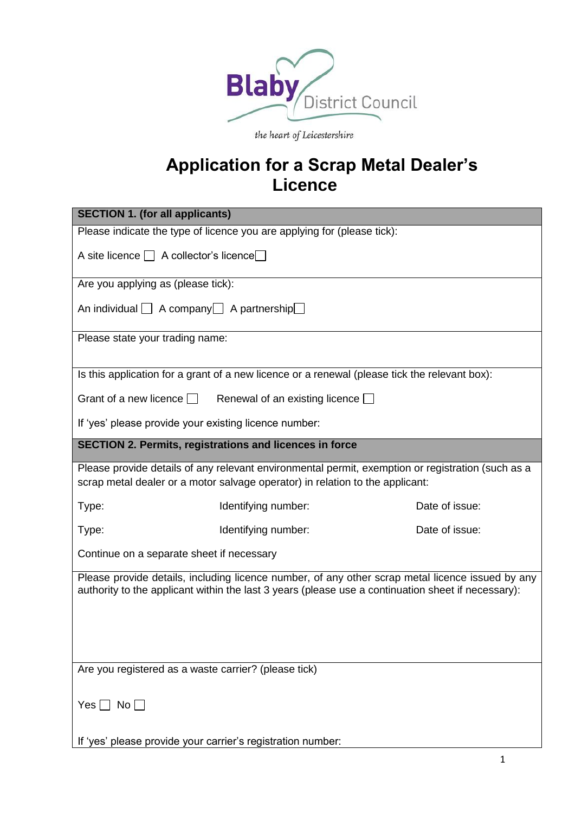

the heart of Leicestershire

# **Application for a Scrap Metal Dealer's Licence**

| <b>SECTION 1. (for all applicants)</b>                                                                                                                                                                 |  |  |
|--------------------------------------------------------------------------------------------------------------------------------------------------------------------------------------------------------|--|--|
| Please indicate the type of licence you are applying for (please tick):                                                                                                                                |  |  |
| A site licence $\Box$ A collector's licence $\Box$                                                                                                                                                     |  |  |
| Are you applying as (please tick):                                                                                                                                                                     |  |  |
| An individual $\Box$ A company $\Box$ A partnership $\Box$                                                                                                                                             |  |  |
| Please state your trading name:                                                                                                                                                                        |  |  |
| Is this application for a grant of a new licence or a renewal (please tick the relevant box):                                                                                                          |  |  |
| Grant of a new licence $\Box$<br>Renewal of an existing licence $\Box$                                                                                                                                 |  |  |
| If 'yes' please provide your existing licence number:                                                                                                                                                  |  |  |
| <b>SECTION 2. Permits, registrations and licences in force</b>                                                                                                                                         |  |  |
| Please provide details of any relevant environmental permit, exemption or registration (such as a<br>scrap metal dealer or a motor salvage operator) in relation to the applicant:                     |  |  |
| Date of issue:<br>Type:<br>Identifying number:                                                                                                                                                         |  |  |
| Date of issue:<br>Type:<br>Identifying number:                                                                                                                                                         |  |  |
| Continue on a separate sheet if necessary                                                                                                                                                              |  |  |
| Please provide details, including licence number, of any other scrap metal licence issued by any<br>authority to the applicant within the last 3 years (please use a continuation sheet if necessary): |  |  |
| Are you registered as a waste carrier? (please tick)                                                                                                                                                   |  |  |
| Yes $\Box$ No $\Box$<br>If 'yes' please provide your carrier's registration number:                                                                                                                    |  |  |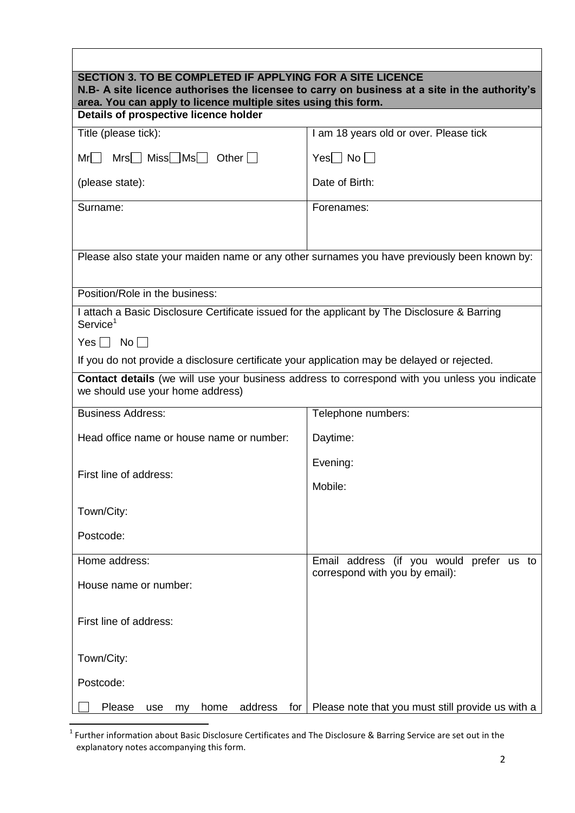| SECTION 3. TO BE COMPLETED IF APPLYING FOR A SITE LICENCE<br>N.B- A site licence authorises the licensee to carry on business at a site in the authority's<br>area. You can apply to licence multiple sites using this form. |                                                   |  |
|------------------------------------------------------------------------------------------------------------------------------------------------------------------------------------------------------------------------------|---------------------------------------------------|--|
| Details of prospective licence holder                                                                                                                                                                                        |                                                   |  |
| Title (please tick):                                                                                                                                                                                                         | I am 18 years old or over. Please tick            |  |
| $Mrs$ Miss $Mss$ Other $\Box$<br>$Mr $                                                                                                                                                                                       | $Yes \Box No \Box$                                |  |
| (please state):                                                                                                                                                                                                              | Date of Birth:                                    |  |
| Surname:                                                                                                                                                                                                                     | Forenames:                                        |  |
|                                                                                                                                                                                                                              |                                                   |  |
| Please also state your maiden name or any other surnames you have previously been known by:                                                                                                                                  |                                                   |  |
| Position/Role in the business:                                                                                                                                                                                               |                                                   |  |
| I attach a Basic Disclosure Certificate issued for the applicant by The Disclosure & Barring<br>Service <sup>1</sup>                                                                                                         |                                                   |  |
| $Yes \Box No \Box$                                                                                                                                                                                                           |                                                   |  |
| If you do not provide a disclosure certificate your application may be delayed or rejected.                                                                                                                                  |                                                   |  |
| Contact details (we will use your business address to correspond with you unless you indicate<br>we should use your home address)                                                                                            |                                                   |  |
| <b>Business Address:</b>                                                                                                                                                                                                     | Telephone numbers:                                |  |
| Head office name or house name or number:                                                                                                                                                                                    | Daytime:                                          |  |
| First line of address:                                                                                                                                                                                                       | Evening:                                          |  |
|                                                                                                                                                                                                                              | Mobile:                                           |  |
| Town/City:                                                                                                                                                                                                                   |                                                   |  |
| Postcode:                                                                                                                                                                                                                    |                                                   |  |
| Home address:                                                                                                                                                                                                                | Email address (if you would prefer us to          |  |
| House name or number:                                                                                                                                                                                                        | correspond with you by email):                    |  |
| First line of address:                                                                                                                                                                                                       |                                                   |  |
| Town/City:                                                                                                                                                                                                                   |                                                   |  |
| Postcode:                                                                                                                                                                                                                    |                                                   |  |
| address<br>Please<br>home<br>for <sub>l</sub><br>use<br>my                                                                                                                                                                   | Please note that you must still provide us with a |  |

 $\overline{\phantom{a}}$ 

 1 Further information about Basic Disclosure Certificates and The Disclosure & Barring Service are set out in the explanatory notes accompanying this form.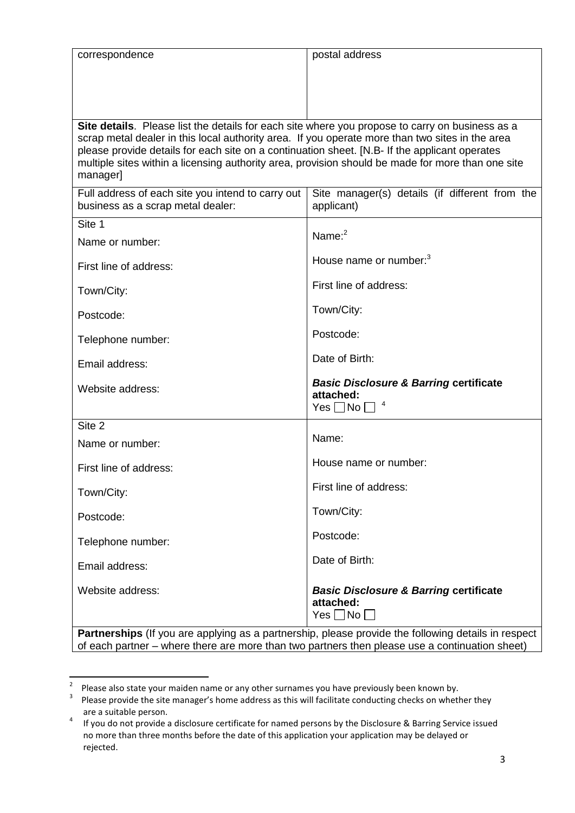| correspondence                                                                                                                                                                                     | postal address                                                 |  |
|----------------------------------------------------------------------------------------------------------------------------------------------------------------------------------------------------|----------------------------------------------------------------|--|
|                                                                                                                                                                                                    |                                                                |  |
|                                                                                                                                                                                                    |                                                                |  |
|                                                                                                                                                                                                    |                                                                |  |
| Site details. Please list the details for each site where you propose to carry on business as a<br>scrap metal dealer in this local authority area. If you operate more than two sites in the area |                                                                |  |
| please provide details for each site on a continuation sheet. [N.B- If the applicant operates                                                                                                      |                                                                |  |
| multiple sites within a licensing authority area, provision should be made for more than one site<br>manager]                                                                                      |                                                                |  |
| Full address of each site you intend to carry out                                                                                                                                                  | Site manager(s) details (if different from the                 |  |
| business as a scrap metal dealer:                                                                                                                                                                  | applicant)                                                     |  |
| Site 1                                                                                                                                                                                             | Name: $2$                                                      |  |
| Name or number:                                                                                                                                                                                    |                                                                |  |
| First line of address:                                                                                                                                                                             | House name or number: <sup>3</sup>                             |  |
| Town/City:                                                                                                                                                                                         | First line of address:                                         |  |
| Postcode:                                                                                                                                                                                          | Town/City:                                                     |  |
| Telephone number:                                                                                                                                                                                  | Postcode:                                                      |  |
|                                                                                                                                                                                                    | Date of Birth:                                                 |  |
| Email address:                                                                                                                                                                                     |                                                                |  |
| Website address:                                                                                                                                                                                   | <b>Basic Disclosure &amp; Barring certificate</b><br>attached: |  |
|                                                                                                                                                                                                    | $Yes \Box No \Box$                                             |  |
| Site 2                                                                                                                                                                                             | Name:                                                          |  |
| Name or number:                                                                                                                                                                                    |                                                                |  |
| First line of address:                                                                                                                                                                             | House name or number:                                          |  |
| Town/City:                                                                                                                                                                                         | First line of address:                                         |  |
| Postcode:                                                                                                                                                                                          | Town/City:                                                     |  |
| Telephone number:                                                                                                                                                                                  | Postcode:                                                      |  |
| Email address:                                                                                                                                                                                     | Date of Birth:                                                 |  |
|                                                                                                                                                                                                    |                                                                |  |
| Website address:                                                                                                                                                                                   | <b>Basic Disclosure &amp; Barring certificate</b><br>attached: |  |
|                                                                                                                                                                                                    | $Yes \Box No \Box$                                             |  |
|                                                                                                                                                                                                    |                                                                |  |

**Partnerships** (If you are applying as a partnership, please provide the following details in respect of each partner – where there are more than two partners then please use a continuation sheet)

 2 Please also state your maiden name or any other surnames you have previously been known by.

 $3$  Please provide the site manager's home address as this will facilitate conducting checks on whether they are a suitable person.

<sup>4</sup> If you do not provide a disclosure certificate for named persons by the Disclosure & Barring Service issued no more than three months before the date of this application your application may be delayed or rejected.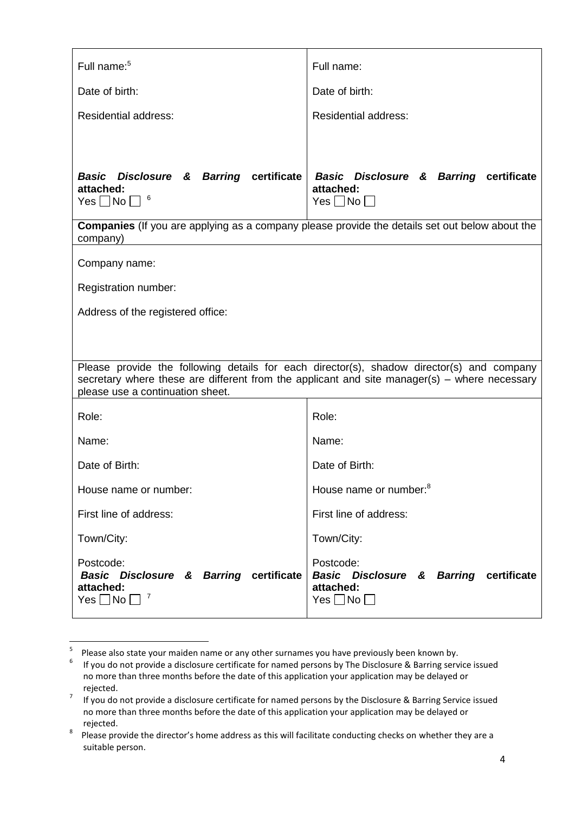| Full name: <sup>5</sup>                                                                                  | Full name:                                                                                            |
|----------------------------------------------------------------------------------------------------------|-------------------------------------------------------------------------------------------------------|
| Date of birth:                                                                                           | Date of birth:                                                                                        |
| <b>Residential address:</b>                                                                              | <b>Residential address:</b>                                                                           |
| Basic Disclosure & Barring certificate                                                                   | <b>Basic Disclosure &amp; Barring certificate</b>                                                     |
| attached:<br>Yes $\Box$ No $\Box$ <sup>6</sup>                                                           | attached:<br>$Yes \Box No \Box$                                                                       |
|                                                                                                          | <b>Companies</b> (If you are applying as a company please provide the details set out below about the |
| company)                                                                                                 |                                                                                                       |
| Company name:                                                                                            |                                                                                                       |
| Registration number:                                                                                     |                                                                                                       |
| Address of the registered office:                                                                        |                                                                                                       |
|                                                                                                          |                                                                                                       |
|                                                                                                          | Please provide the following details for each director(s), shadow director(s) and company             |
| please use a continuation sheet.                                                                         | secretary where these are different from the applicant and site manager(s) – where necessary          |
|                                                                                                          |                                                                                                       |
| Role:                                                                                                    | Role:                                                                                                 |
| Name:                                                                                                    | Name:                                                                                                 |
| Date of Birth:                                                                                           | Date of Birth:                                                                                        |
| House name or number:                                                                                    | House name or number: <sup>8</sup>                                                                    |
| First line of address:                                                                                   | First line of address:                                                                                |
| Town/City:                                                                                               | Town/City:                                                                                            |
| Postcode:<br><b>Basic Disclosure &amp; Barring certificate</b><br>attached:<br>7<br>Yes $\Box$ No $\Box$ | Postcode:<br>Basic Disclosure & Barring certificate<br>attached:<br>$Yes \Box No \Box$                |

 5 Please also state your maiden name or any other surnames you have previously been known by.

<sup>6</sup> If you do not provide a disclosure certificate for named persons by The Disclosure & Barring service issued no more than three months before the date of this application your application may be delayed or rejected.

<sup>&</sup>lt;sup>7</sup> If you do not provide a disclosure certificate for named persons by the Disclosure & Barring Service issued no more than three months before the date of this application your application may be delayed or rejected.

<sup>8</sup> Please provide the director's home address as this will facilitate conducting checks on whether they are a suitable person.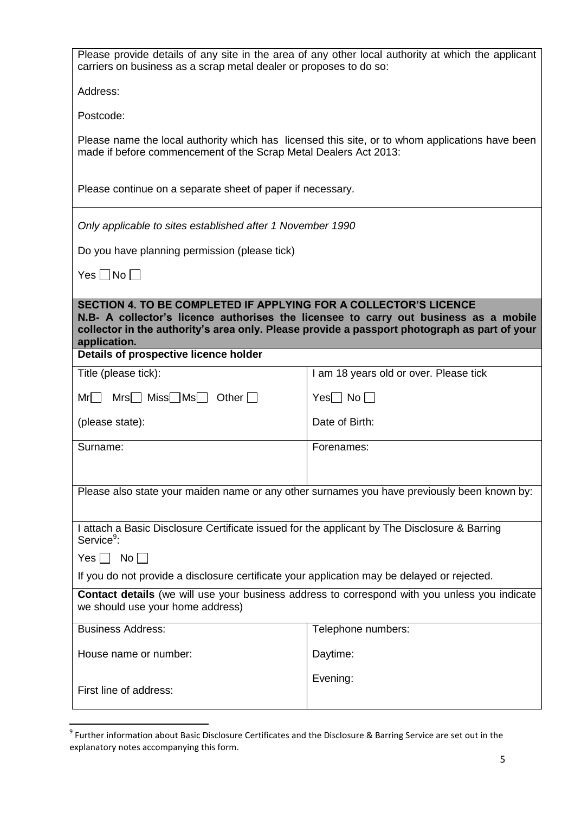| Please provide details of any site in the area of any other local authority at which the applicant<br>carriers on business as a scrap metal dealer or proposes to do so:                                                                                                 |                                                                                                 |  |
|--------------------------------------------------------------------------------------------------------------------------------------------------------------------------------------------------------------------------------------------------------------------------|-------------------------------------------------------------------------------------------------|--|
| Address:                                                                                                                                                                                                                                                                 |                                                                                                 |  |
| Postcode:                                                                                                                                                                                                                                                                |                                                                                                 |  |
| made if before commencement of the Scrap Metal Dealers Act 2013:                                                                                                                                                                                                         | Please name the local authority which has licensed this site, or to whom applications have been |  |
| Please continue on a separate sheet of paper if necessary.                                                                                                                                                                                                               |                                                                                                 |  |
| Only applicable to sites established after 1 November 1990                                                                                                                                                                                                               |                                                                                                 |  |
| Do you have planning permission (please tick)                                                                                                                                                                                                                            |                                                                                                 |  |
| Yes $\Box$ No $\Box$                                                                                                                                                                                                                                                     |                                                                                                 |  |
| SECTION 4. TO BE COMPLETED IF APPLYING FOR A COLLECTOR'S LICENCE<br>N.B- A collector's licence authorises the licensee to carry out business as a mobile<br>collector in the authority's area only. Please provide a passport photograph as part of your<br>application. |                                                                                                 |  |
| Details of prospective licence holder                                                                                                                                                                                                                                    |                                                                                                 |  |
| Title (please tick):                                                                                                                                                                                                                                                     | I am 18 years old or over. Please tick                                                          |  |
| $Mr \Box$ Mrs $\Box$ Miss $\Box$ Ms $\Box$ Other $\Box$                                                                                                                                                                                                                  | $Yes \Box No \Box$                                                                              |  |
| (please state):                                                                                                                                                                                                                                                          | Date of Birth:                                                                                  |  |
| Surname:                                                                                                                                                                                                                                                                 | Forenames:                                                                                      |  |
|                                                                                                                                                                                                                                                                          |                                                                                                 |  |
| Please also state your maiden name or any other surnames you have previously been known by:                                                                                                                                                                              |                                                                                                 |  |
| I attach a Basic Disclosure Certificate issued for the applicant by The Disclosure & Barring<br>Service <sup>9</sup> :                                                                                                                                                   |                                                                                                 |  |
| $Yes \Box No \Box$                                                                                                                                                                                                                                                       |                                                                                                 |  |
| If you do not provide a disclosure certificate your application may be delayed or rejected.                                                                                                                                                                              |                                                                                                 |  |
| <b>Contact details</b> (we will use your business address to correspond with you unless you indicate<br>we should use your home address)                                                                                                                                 |                                                                                                 |  |
| <b>Business Address:</b>                                                                                                                                                                                                                                                 | Telephone numbers:                                                                              |  |
| House name or number:                                                                                                                                                                                                                                                    | Daytime:                                                                                        |  |
| First line of address:                                                                                                                                                                                                                                                   | Evening:                                                                                        |  |

 9 Further information about Basic Disclosure Certificates and the Disclosure & Barring Service are set out in the explanatory notes accompanying this form.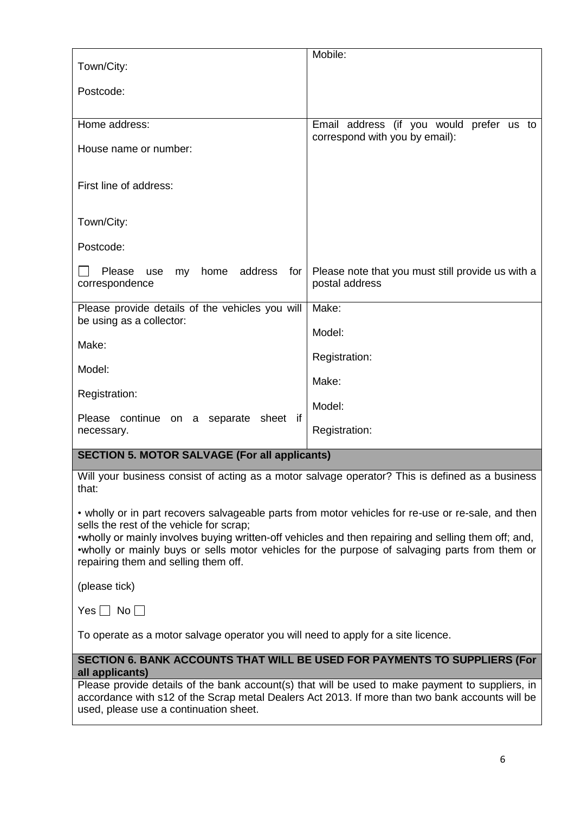| Town/City:                                                                                                                                                                                                                                                                                                                                                                                        | Mobile:                                                                    |  |
|---------------------------------------------------------------------------------------------------------------------------------------------------------------------------------------------------------------------------------------------------------------------------------------------------------------------------------------------------------------------------------------------------|----------------------------------------------------------------------------|--|
| Postcode:                                                                                                                                                                                                                                                                                                                                                                                         |                                                                            |  |
|                                                                                                                                                                                                                                                                                                                                                                                                   |                                                                            |  |
| Home address:                                                                                                                                                                                                                                                                                                                                                                                     | Email address (if you would prefer us to<br>correspond with you by email): |  |
| House name or number:                                                                                                                                                                                                                                                                                                                                                                             |                                                                            |  |
| First line of address:                                                                                                                                                                                                                                                                                                                                                                            |                                                                            |  |
| Town/City:                                                                                                                                                                                                                                                                                                                                                                                        |                                                                            |  |
| Postcode:                                                                                                                                                                                                                                                                                                                                                                                         |                                                                            |  |
| address<br>Please<br>home<br>for<br>use<br>my<br>correspondence                                                                                                                                                                                                                                                                                                                                   | Please note that you must still provide us with a<br>postal address        |  |
| Please provide details of the vehicles you will<br>be using as a collector:                                                                                                                                                                                                                                                                                                                       | Make:                                                                      |  |
|                                                                                                                                                                                                                                                                                                                                                                                                   | Model:                                                                     |  |
| Make:                                                                                                                                                                                                                                                                                                                                                                                             | Registration:                                                              |  |
| Model:                                                                                                                                                                                                                                                                                                                                                                                            | Make:                                                                      |  |
| Registration:                                                                                                                                                                                                                                                                                                                                                                                     | Model:                                                                     |  |
| Please continue on a separate<br>sheet if<br>necessary.                                                                                                                                                                                                                                                                                                                                           | Registration:                                                              |  |
| <b>SECTION 5. MOTOR SALVAGE (For all applicants)</b>                                                                                                                                                                                                                                                                                                                                              |                                                                            |  |
|                                                                                                                                                                                                                                                                                                                                                                                                   |                                                                            |  |
| Will your business consist of acting as a motor salvage operator? This is defined as a business<br>that:                                                                                                                                                                                                                                                                                          |                                                                            |  |
| • wholly or in part recovers salvageable parts from motor vehicles for re-use or re-sale, and then<br>sells the rest of the vehicle for scrap;<br>•wholly or mainly involves buying written-off vehicles and then repairing and selling them off; and,<br>. wholly or mainly buys or sells motor vehicles for the purpose of salvaging parts from them or<br>repairing them and selling them off. |                                                                            |  |
| (please tick)                                                                                                                                                                                                                                                                                                                                                                                     |                                                                            |  |
| Yes $\Box$ No $\Box$                                                                                                                                                                                                                                                                                                                                                                              |                                                                            |  |
| To operate as a motor salvage operator you will need to apply for a site licence.                                                                                                                                                                                                                                                                                                                 |                                                                            |  |
| SECTION 6. BANK ACCOUNTS THAT WILL BE USED FOR PAYMENTS TO SUPPLIERS (For<br>all applicants)                                                                                                                                                                                                                                                                                                      |                                                                            |  |
| Please provide details of the bank account(s) that will be used to make payment to suppliers, in                                                                                                                                                                                                                                                                                                  |                                                                            |  |
| accordance with s12 of the Scrap metal Dealers Act 2013. If more than two bank accounts will be<br>used, please use a continuation sheet.                                                                                                                                                                                                                                                         |                                                                            |  |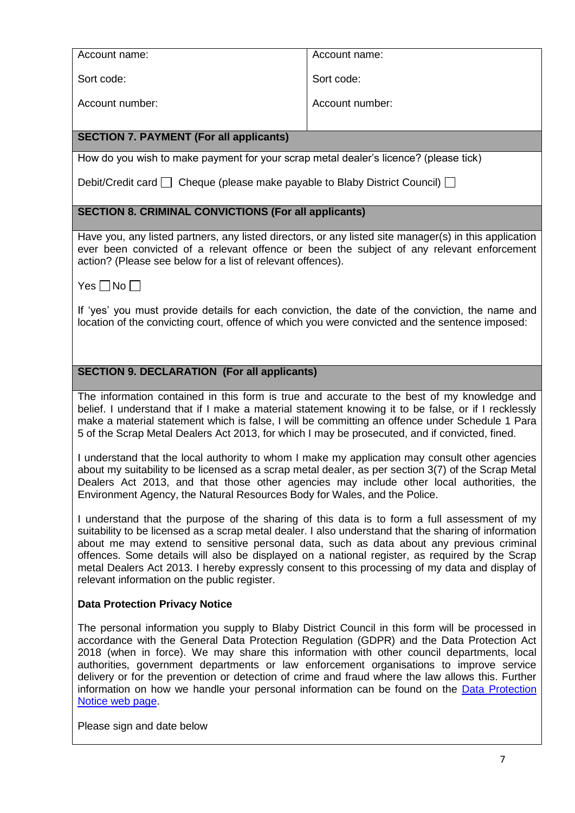| Account name:                                                                                                                                                                                                                                                                                                                                                                                                                                                                                                                                                                                               | Account name:                                                                          |  |  |
|-------------------------------------------------------------------------------------------------------------------------------------------------------------------------------------------------------------------------------------------------------------------------------------------------------------------------------------------------------------------------------------------------------------------------------------------------------------------------------------------------------------------------------------------------------------------------------------------------------------|----------------------------------------------------------------------------------------|--|--|
| Sort code:                                                                                                                                                                                                                                                                                                                                                                                                                                                                                                                                                                                                  | Sort code:                                                                             |  |  |
| Account number:                                                                                                                                                                                                                                                                                                                                                                                                                                                                                                                                                                                             | Account number:                                                                        |  |  |
| <b>SECTION 7. PAYMENT (For all applicants)</b>                                                                                                                                                                                                                                                                                                                                                                                                                                                                                                                                                              |                                                                                        |  |  |
| How do you wish to make payment for your scrap metal dealer's licence? (please tick)                                                                                                                                                                                                                                                                                                                                                                                                                                                                                                                        |                                                                                        |  |  |
|                                                                                                                                                                                                                                                                                                                                                                                                                                                                                                                                                                                                             | Debit/Credit card $\Box$ Cheque (please make payable to Blaby District Council) $\Box$ |  |  |
| <b>SECTION 8. CRIMINAL CONVICTIONS (For all applicants)</b>                                                                                                                                                                                                                                                                                                                                                                                                                                                                                                                                                 |                                                                                        |  |  |
| Have you, any listed partners, any listed directors, or any listed site manager(s) in this application<br>ever been convicted of a relevant offence or been the subject of any relevant enforcement<br>action? (Please see below for a list of relevant offences).                                                                                                                                                                                                                                                                                                                                          |                                                                                        |  |  |
| Yes $\Box$ No $\Box$                                                                                                                                                                                                                                                                                                                                                                                                                                                                                                                                                                                        |                                                                                        |  |  |
| If 'yes' you must provide details for each conviction, the date of the conviction, the name and<br>location of the convicting court, offence of which you were convicted and the sentence imposed:                                                                                                                                                                                                                                                                                                                                                                                                          |                                                                                        |  |  |
| <b>SECTION 9. DECLARATION (For all applicants)</b>                                                                                                                                                                                                                                                                                                                                                                                                                                                                                                                                                          |                                                                                        |  |  |
|                                                                                                                                                                                                                                                                                                                                                                                                                                                                                                                                                                                                             |                                                                                        |  |  |
| The information contained in this form is true and accurate to the best of my knowledge and<br>belief. I understand that if I make a material statement knowing it to be false, or if I recklessly<br>make a material statement which is false, I will be committing an offence under Schedule 1 Para<br>5 of the Scrap Metal Dealers Act 2013, for which I may be prosecuted, and if convicted, fined.                                                                                                                                                                                                     |                                                                                        |  |  |
| I understand that the local authority to whom I make my application may consult other agencies<br>about my suitability to be licensed as a scrap metal dealer, as per section 3(7) of the Scrap Metal<br>Dealers Act 2013, and that those other agencies may include other local authorities, the<br>Environment Agency, the Natural Resources Body for Wales, and the Police.                                                                                                                                                                                                                              |                                                                                        |  |  |
| I understand that the purpose of the sharing of this data is to form a full assessment of my<br>suitability to be licensed as a scrap metal dealer. I also understand that the sharing of information<br>about me may extend to sensitive personal data, such as data about any previous criminal<br>offences. Some details will also be displayed on a national register, as required by the Scrap<br>metal Dealers Act 2013. I hereby expressly consent to this processing of my data and display of<br>relevant information on the public register.                                                      |                                                                                        |  |  |
| <b>Data Protection Privacy Notice</b>                                                                                                                                                                                                                                                                                                                                                                                                                                                                                                                                                                       |                                                                                        |  |  |
| The personal information you supply to Blaby District Council in this form will be processed in<br>accordance with the General Data Protection Regulation (GDPR) and the Data Protection Act<br>2018 (when in force). We may share this information with other council departments, local<br>authorities, government departments or law enforcement organisations to improve service<br>delivery or for the prevention or detection of crime and fraud where the law allows this. Further<br>information on how we handle your personal information can be found on the Data Protection<br>Notice web page. |                                                                                        |  |  |
| Please sign and date below                                                                                                                                                                                                                                                                                                                                                                                                                                                                                                                                                                                  |                                                                                        |  |  |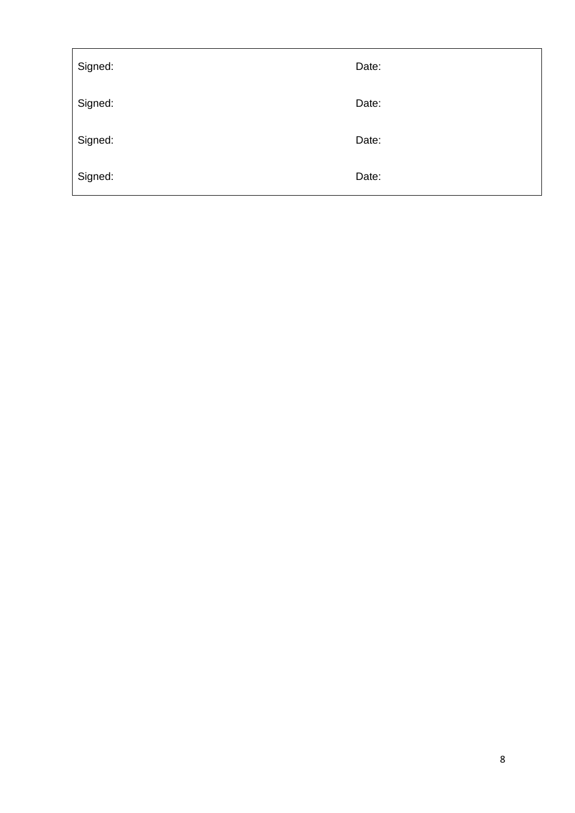| Signed: | Date: |
|---------|-------|
| Signed: | Date: |
| Signed: | Date: |
| Signed: | Date: |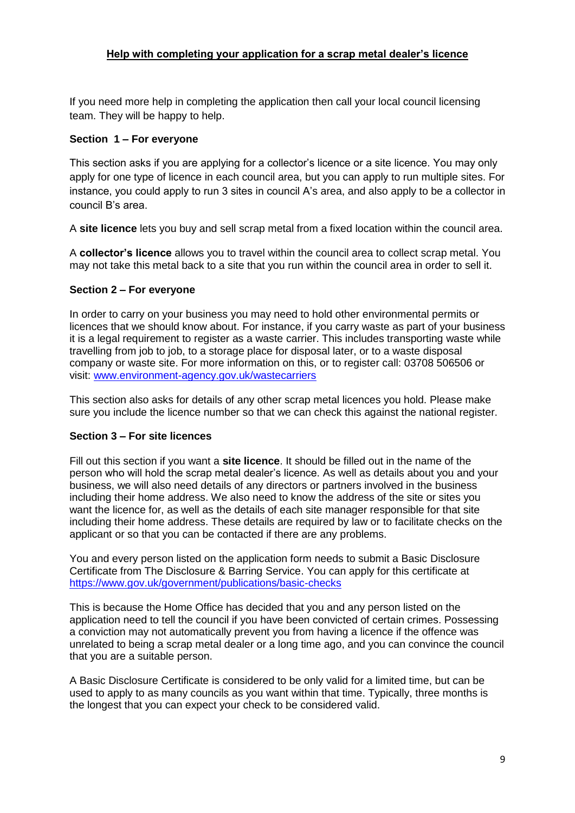# **Help with completing your application for a scrap metal dealer's licence**

If you need more help in completing the application then call your local council licensing team. They will be happy to help.

# **Section 1 – For everyone**

This section asks if you are applying for a collector's licence or a site licence. You may only apply for one type of licence in each council area, but you can apply to run multiple sites. For instance, you could apply to run 3 sites in council A's area, and also apply to be a collector in council B's area.

A **site licence** lets you buy and sell scrap metal from a fixed location within the council area.

A **collector's licence** allows you to travel within the council area to collect scrap metal. You may not take this metal back to a site that you run within the council area in order to sell it.

# **Section 2 – For everyone**

In order to carry on your business you may need to hold other environmental permits or licences that we should know about. For instance, if you carry waste as part of your business it is a legal requirement to register as a waste carrier. This includes transporting waste while travelling from job to job, to a storage place for disposal later, or to a waste disposal company or waste site. For more information on this, or to register call: 03708 506506 or visit: [www.environment-agency.gov.uk/wastecarriers](http://www.environment-agency.gov.uk/wastecarriers)

This section also asks for details of any other scrap metal licences you hold. Please make sure you include the licence number so that we can check this against the national register.

#### **Section 3 – For site licences**

Fill out this section if you want a **site licence**. It should be filled out in the name of the person who will hold the scrap metal dealer's licence. As well as details about you and your business, we will also need details of any directors or partners involved in the business including their home address. We also need to know the address of the site or sites you want the licence for, as well as the details of each site manager responsible for that site including their home address. These details are required by law or to facilitate checks on the applicant or so that you can be contacted if there are any problems.

You and every person listed on the application form needs to submit a Basic Disclosure Certificate from The Disclosure & Barring Service. You can apply for this certificate at <https://www.gov.uk/government/publications/basic-checks>

This is because the Home Office has decided that you and any person listed on the application need to tell the council if you have been convicted of certain crimes. Possessing a conviction may not automatically prevent you from having a licence if the offence was unrelated to being a scrap metal dealer or a long time ago, and you can convince the council that you are a suitable person.

A Basic Disclosure Certificate is considered to be only valid for a limited time, but can be used to apply to as many councils as you want within that time. Typically, three months is the longest that you can expect your check to be considered valid.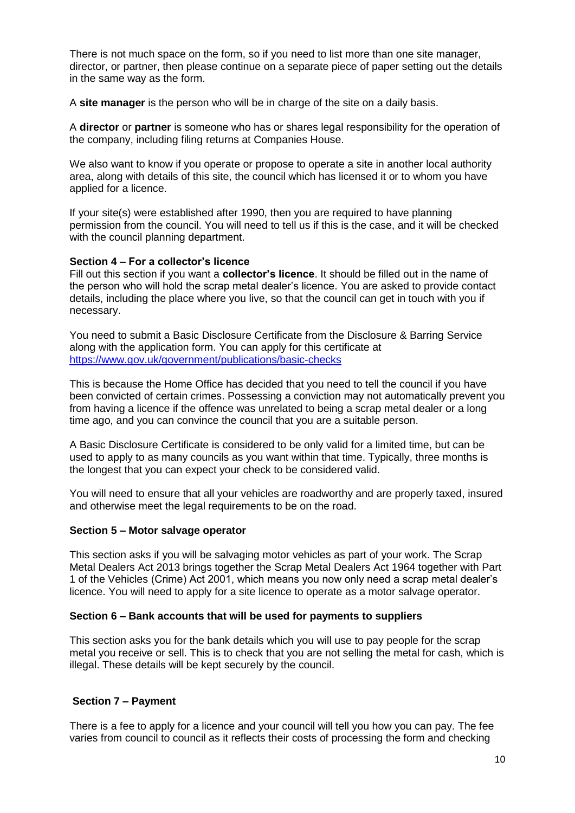There is not much space on the form, so if you need to list more than one site manager, director, or partner, then please continue on a separate piece of paper setting out the details in the same way as the form.

A **site manager** is the person who will be in charge of the site on a daily basis.

A **director** or **partner** is someone who has or shares legal responsibility for the operation of the company, including filing returns at Companies House.

We also want to know if you operate or propose to operate a site in another local authority area, along with details of this site, the council which has licensed it or to whom you have applied for a licence.

If your site(s) were established after 1990, then you are required to have planning permission from the council. You will need to tell us if this is the case, and it will be checked with the council planning department.

#### **Section 4 – For a collector's licence**

Fill out this section if you want a **collector's licence**. It should be filled out in the name of the person who will hold the scrap metal dealer's licence. You are asked to provide contact details, including the place where you live, so that the council can get in touch with you if necessary.

You need to submit a Basic Disclosure Certificate from the Disclosure & Barring Service along with the application form. You can apply for this certificate at <https://www.gov.uk/government/publications/basic-checks>

This is because the Home Office has decided that you need to tell the council if you have been convicted of certain crimes. Possessing a conviction may not automatically prevent you from having a licence if the offence was unrelated to being a scrap metal dealer or a long time ago, and you can convince the council that you are a suitable person.

A Basic Disclosure Certificate is considered to be only valid for a limited time, but can be used to apply to as many councils as you want within that time. Typically, three months is the longest that you can expect your check to be considered valid.

You will need to ensure that all your vehicles are roadworthy and are properly taxed, insured and otherwise meet the legal requirements to be on the road.

#### **Section 5 – Motor salvage operator**

This section asks if you will be salvaging motor vehicles as part of your work. The Scrap Metal Dealers Act 2013 brings together the Scrap Metal Dealers Act 1964 together with Part 1 of the Vehicles (Crime) Act 2001, which means you now only need a scrap metal dealer's licence. You will need to apply for a site licence to operate as a motor salvage operator.

#### **Section 6 – Bank accounts that will be used for payments to suppliers**

This section asks you for the bank details which you will use to pay people for the scrap metal you receive or sell. This is to check that you are not selling the metal for cash, which is illegal. These details will be kept securely by the council.

#### **Section 7 – Payment**

There is a fee to apply for a licence and your council will tell you how you can pay. The fee varies from council to council as it reflects their costs of processing the form and checking